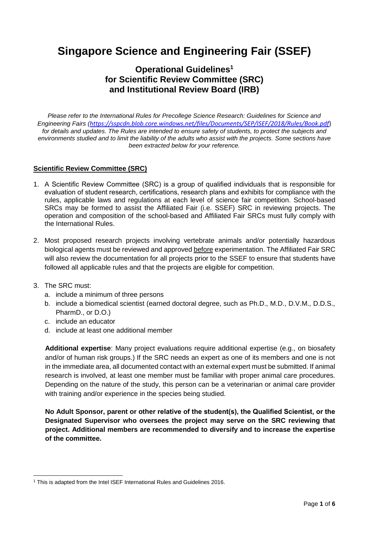# **Singapore Science and Engineering Fair (SSEF)**

### **Operational Guidelines<sup>1</sup> for Scientific Review Committee (SRC) and Institutional Review Board (IRB)**

*Please refer to the International Rules for Precollege Science Research: Guidelines for Science and Engineering Fairs (<https://sspcdn.blob.core.windows.net/files/Documents/SEP/ISEF/2018/Rules/Book.pdf>*) *for details and updates. The Rules are intended to ensure safety of students, to protect the subjects and environments studied and to limit the liability of the adults who assist with the projects. Some sections have been extracted below for your reference.*

#### **Scientific Review Committee (SRC)**

- 1. A Scientific Review Committee (SRC) is a group of qualified individuals that is responsible for evaluation of student research, certifications, research plans and exhibits for compliance with the rules, applicable laws and regulations at each level of science fair competition. School-based SRCs may be formed to assist the Affiliated Fair (i.e. SSEF) SRC in reviewing projects. The operation and composition of the school-based and Affiliated Fair SRCs must fully comply with the International Rules.
- 2. Most proposed research projects involving vertebrate animals and/or potentially hazardous biological agents must be reviewed and approved before experimentation. The Affiliated Fair SRC will also review the documentation for all projects prior to the SSEF to ensure that students have followed all applicable rules and that the projects are eligible for competition.
- 3. The SRC must:
	- a. include a minimum of three persons
	- b. include a biomedical scientist (earned doctoral degree, such as Ph.D., M.D., D.V.M., D.D.S., PharmD., or D.O.)
	- c. include an educator
	- d. include at least one additional member

**Additional expertise**: Many project evaluations require additional expertise (e.g., on biosafety and/or of human risk groups.) If the SRC needs an expert as one of its members and one is not in the immediate area, all documented contact with an external expert must be submitted. If animal research is involved, at least one member must be familiar with proper animal care procedures. Depending on the nature of the study, this person can be a veterinarian or animal care provider with training and/or experience in the species being studied.

**No Adult Sponsor, parent or other relative of the student(s), the Qualified Scientist, or the Designated Supervisor who oversees the project may serve on the SRC reviewing that project. Additional members are recommended to diversify and to increase the expertise of the committee.**

<sup>1</sup> <sup>1</sup> This is adapted from the Intel ISEF International Rules and Guidelines 2016.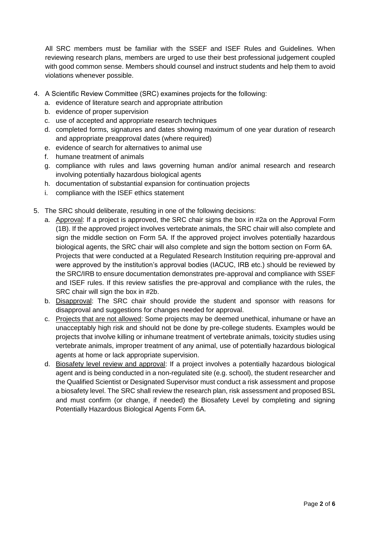All SRC members must be familiar with the SSEF and ISEF Rules and Guidelines. When reviewing research plans, members are urged to use their best professional judgement coupled with good common sense. Members should counsel and instruct students and help them to avoid violations whenever possible.

- 4. A Scientific Review Committee (SRC) examines projects for the following:
	- a. evidence of literature search and appropriate attribution
	- b. evidence of proper supervision
	- c. use of accepted and appropriate research techniques
	- d. completed forms, signatures and dates showing maximum of one year duration of research and appropriate preapproval dates (where required)
	- e. evidence of search for alternatives to animal use
	- f. humane treatment of animals
	- g. compliance with rules and laws governing human and/or animal research and research involving potentially hazardous biological agents
	- h. documentation of substantial expansion for continuation projects
	- i. compliance with the ISEF ethics statement
- 5. The SRC should deliberate, resulting in one of the following decisions:
	- a. Approval: If a project is approved, the SRC chair signs the box in #2a on the Approval Form (1B). If the approved project involves vertebrate animals, the SRC chair will also complete and sign the middle section on Form 5A. If the approved project involves potentially hazardous biological agents, the SRC chair will also complete and sign the bottom section on Form 6A. Projects that were conducted at a Regulated Research Institution requiring pre-approval and were approved by the institution's approval bodies (IACUC, IRB etc.) should be reviewed by the SRC/IRB to ensure documentation demonstrates pre-approval and compliance with SSEF and ISEF rules. If this review satisfies the pre-approval and compliance with the rules, the SRC chair will sign the box in #2b.
	- b. Disapproval: The SRC chair should provide the student and sponsor with reasons for disapproval and suggestions for changes needed for approval.
	- c. Projects that are not allowed: Some projects may be deemed unethical, inhumane or have an unacceptably high risk and should not be done by pre-college students. Examples would be projects that involve killing or inhumane treatment of vertebrate animals, toxicity studies using vertebrate animals, improper treatment of any animal, use of potentially hazardous biological agents at home or lack appropriate supervision.
	- d. Biosafety level review and approval: If a project involves a potentially hazardous biological agent and is being conducted in a non-regulated site (e.g. school), the student researcher and the Qualified Scientist or Designated Supervisor must conduct a risk assessment and propose a biosafety level. The SRC shall review the research plan, risk assessment and proposed BSL and must confirm (or change, if needed) the Biosafety Level by completing and signing Potentially Hazardous Biological Agents Form 6A.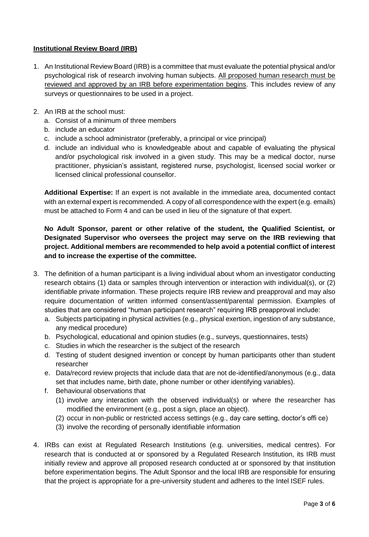### **Institutional Review Board (IRB)**

- 1. An Institutional Review Board (IRB) is a committee that must evaluate the potential physical and/or psychological risk of research involving human subjects. All proposed human research must be reviewed and approved by an IRB before experimentation begins. This includes review of any surveys or questionnaires to be used in a project.
- 2. An IRB at the school must:
	- a. Consist of a minimum of three members
	- b. include an educator
	- c. include a school administrator (preferably, a principal or vice principal)
	- d. include an individual who is knowledgeable about and capable of evaluating the physical and/or psychological risk involved in a given study. This may be a medical doctor, nurse practitioner, physician's assistant, registered nurse, psychologist, licensed social worker or licensed clinical professional counsellor.

**Additional Expertise:** If an expert is not available in the immediate area, documented contact with an external expert is recommended. A copy of all correspondence with the expert (e.g. emails) must be attached to Form 4 and can be used in lieu of the signature of that expert.

### **No Adult Sponsor, parent or other relative of the student, the Qualified Scientist, or Designated Supervisor who oversees the project may serve on the IRB reviewing that project. Additional members are recommended to help avoid a potential conflict of interest and to increase the expertise of the committee.**

- 3. The definition of a human participant is a living individual about whom an investigator conducting research obtains (1) data or samples through intervention or interaction with individual(s), or (2) identifiable private information. These projects require IRB review and preapproval and may also require documentation of written informed consent/assent/parental permission. Examples of studies that are considered "human participant research" requiring IRB preapproval include:
	- a. Subjects participating in physical activities (e.g., physical exertion, ingestion of any substance, any medical procedure)
	- b. Psychological, educational and opinion studies (e.g., surveys, questionnaires, tests)
	- c. Studies in which the researcher is the subject of the research
	- d. Testing of student designed invention or concept by human participants other than student researcher
	- e. Data/record review projects that include data that are not de-identified/anonymous (e.g., data set that includes name, birth date, phone number or other identifying variables).
	- f. Behavioural observations that
		- (1) involve any interaction with the observed individual(s) or where the researcher has modified the environment (e.g., post a sign, place an object).
		- (2) occur in non-public or restricted access settings (e.g., day care setting, doctor's offi ce)
		- (3) involve the recording of personally identifiable information
- 4. IRBs can exist at Regulated Research Institutions (e.g. universities, medical centres). For research that is conducted at or sponsored by a Regulated Research Institution, its IRB must initially review and approve all proposed research conducted at or sponsored by that institution before experimentation begins. The Adult Sponsor and the local IRB are responsible for ensuring that the project is appropriate for a pre-university student and adheres to the Intel ISEF rules.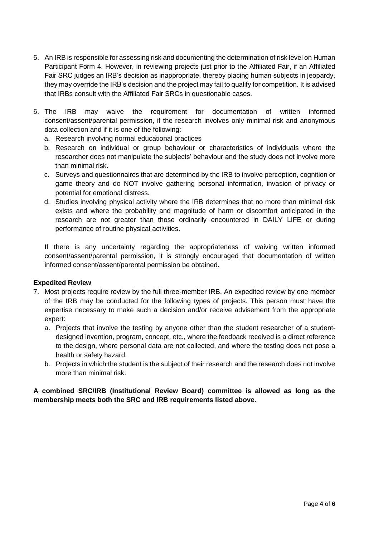- 5. An IRB is responsible for assessing risk and documenting the determination of risk level on Human Participant Form 4. However, in reviewing projects just prior to the Affiliated Fair, if an Affiliated Fair SRC judges an IRB's decision as inappropriate, thereby placing human subjects in jeopardy, they may override the IRB's decision and the project may fail to qualify for competition. It is advised that IRBs consult with the Affiliated Fair SRCs in questionable cases.
- 6. The IRB may waive the requirement for documentation of written informed consent/assent/parental permission, if the research involves only minimal risk and anonymous data collection and if it is one of the following:
	- a. Research involving normal educational practices
	- b. Research on individual or group behaviour or characteristics of individuals where the researcher does not manipulate the subjects' behaviour and the study does not involve more than minimal risk.
	- c. Surveys and questionnaires that are determined by the IRB to involve perception, cognition or game theory and do NOT involve gathering personal information, invasion of privacy or potential for emotional distress.
	- d. Studies involving physical activity where the IRB determines that no more than minimal risk exists and where the probability and magnitude of harm or discomfort anticipated in the research are not greater than those ordinarily encountered in DAILY LIFE or during performance of routine physical activities.

If there is any uncertainty regarding the appropriateness of waiving written informed consent/assent/parental permission, it is strongly encouraged that documentation of written informed consent/assent/parental permission be obtained.

#### **Expedited Review**

- 7. Most projects require review by the full three-member IRB. An expedited review by one member of the IRB may be conducted for the following types of projects. This person must have the expertise necessary to make such a decision and/or receive advisement from the appropriate expert:
	- a. Projects that involve the testing by anyone other than the student researcher of a studentdesigned invention, program, concept, etc., where the feedback received is a direct reference to the design, where personal data are not collected, and where the testing does not pose a health or safety hazard.
	- b. Projects in which the student is the subject of their research and the research does not involve more than minimal risk.

### **A combined SRC/IRB (Institutional Review Board) committee is allowed as long as the membership meets both the SRC and IRB requirements listed above.**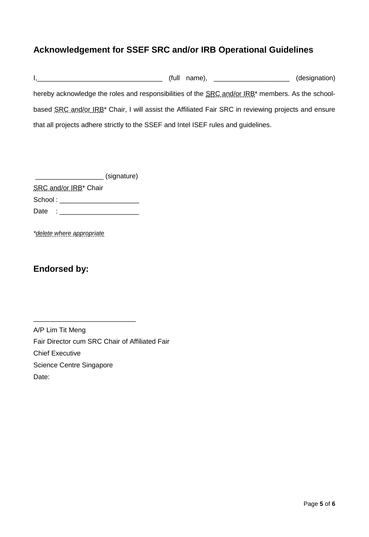# **Acknowledgement for SSEF SRC and/or IRB Operational Guidelines**

I,\_\_\_\_\_\_\_\_\_\_\_\_\_\_\_\_\_\_\_\_\_\_\_\_\_\_\_\_\_\_\_\_\_ (full name), \_\_\_\_\_\_\_\_\_\_\_\_\_\_\_\_\_\_\_\_ (designation) hereby acknowledge the roles and responsibilities of the SRC and/or IRB<sup>\*</sup> members. As the schoolbased SRC and/or IRB<sup>\*</sup> Chair, I will assist the Affiliated Fair SRC in reviewing projects and ensure that all projects adhere strictly to the SSEF and Intel ISEF rules and guidelines.

\_\_\_\_\_\_\_\_\_\_\_\_\_\_\_\_\_\_ (signature)

SRC and/or IRB<sup>\*</sup> Chair School : \_\_\_\_\_\_\_\_\_\_\_\_\_\_\_\_\_\_\_\_\_

Date : \_\_\_\_\_\_\_\_\_\_\_\_\_\_\_\_\_\_\_\_\_

\_\_\_\_\_\_\_\_\_\_\_\_\_\_\_\_\_\_\_\_\_\_\_\_\_\_\_

*\*delete where appropriate*

## **Endorsed by:**

| A/P Lim Tit Meng                               |
|------------------------------------------------|
| Fair Director cum SRC Chair of Affiliated Fair |
| <b>Chief Executive</b>                         |
| Science Centre Singapore                       |
| Date:                                          |